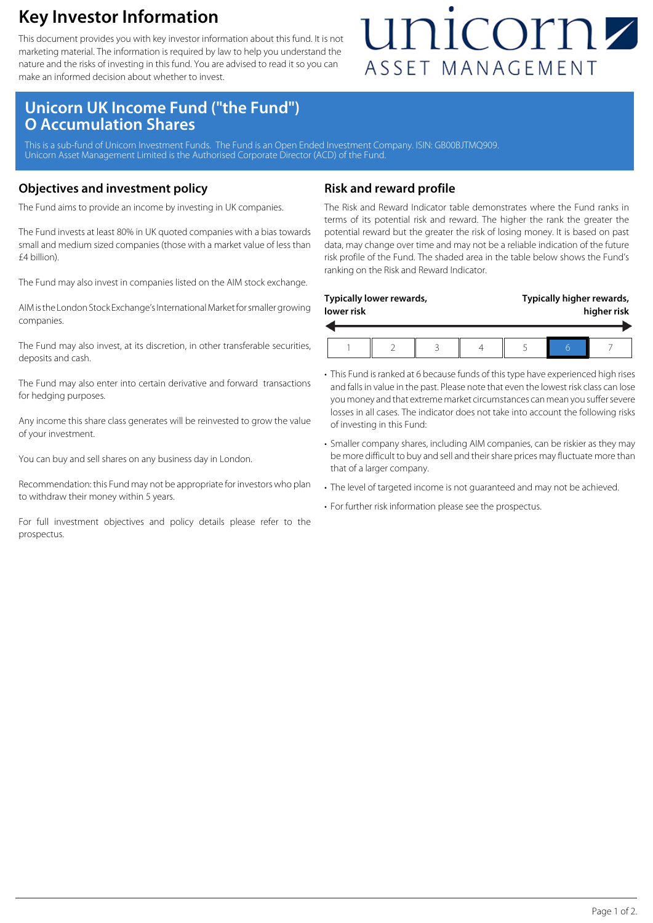### **Key Investor Information**

This document provides you with key investor information about this fund. It is not marketing material. The information is required by law to help you understand the nature and the risks of investing in this fund. You are advised to read it so you can make an informed decision about whether to invest.

## unicornz ASSET MANAGEMENT

### **Unicorn UK Income Fund ("the Fund") O Accumulation Shares**

This is a sub-fund of Unicorn Investment Funds. The Fund is an Open Ended Investment Company. ISIN: GB00BJTMQ909 Unicorn Asset Management Limited is the Authorised Corporate Director (ACD) of the Fund.

#### **Objectives and investment policy**

The Fund aims to provide an income by investing in UK companies.

The Fund invests at least 80% in UK quoted companies with a bias towards small and medium sized companies (those with a market value of less than £4 billion).

The Fund may also invest in companies listed on the AIM stock exchange.

AIM is the London Stock Exchange's International Market for smaller growing companies.

The Fund may also invest, at its discretion, in other transferable securities, deposits and cash.

The Fund may also enter into certain derivative and forward transactions for hedging purposes.

Any income this share class generates will be reinvested to grow the value of your investment.

You can buy and sell shares on any business day in London.

Recommendation: this Fund may not be appropriate for investors who plan to withdraw their money within 5 years.

For full investment objectives and policy details please refer to the prospectus.

#### **Risk and reward profile**

The Risk and Reward Indicator table demonstrates where the Fund ranks in terms of its potential risk and reward. The higher the rank the greater the potential reward but the greater the risk of losing money. It is based on past data, may change over time and may not be a reliable indication of the future risk profile of the Fund. The shaded area in the table below shows the Fund's ranking on the Risk and Reward Indicator.

| lower risk | Typically lower rewards, |  | Typically higher rewards,<br>higher risk |  |  |
|------------|--------------------------|--|------------------------------------------|--|--|
|            |                          |  |                                          |  |  |

- This Fund is ranked at 6 because funds of this type have experienced high rises and falls in value in the past. Please note that even the lowest risk class can lose you money and that extreme market circumstances can mean you suffer severe losses in all cases. The indicator does not take into account the following risks of investing in this Fund:
- Smaller company shares, including AIM companies, can be riskier as they may be more difficult to buy and sell and their share prices may fluctuate more than that of a larger company.
- The level of targeted income is not guaranteed and may not be achieved.
- For further risk information please see the prospectus.